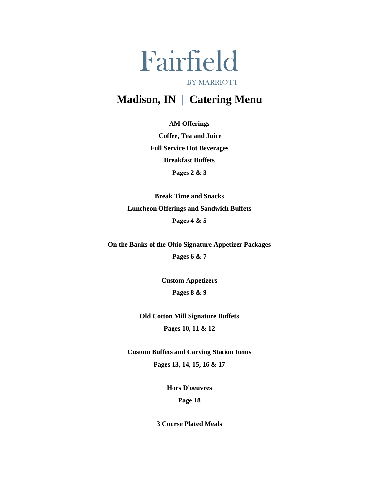# Fairfield BY MARRIOTT

## **Madison, IN | Catering Menu**

**AM Offerings** 

**Coffee, Tea and Juice Full Service Hot Beverages Breakfast Buffets Pages 2 & 3** 

**Break Time and Snacks Luncheon Offerings and Sandwich Buffets Pages 4 & 5** 

**On the Banks of the Ohio Signature Appetizer Packages Pages 6 & 7** 

> **Custom Appetizers Pages 8 & 9**

**Old Cotton Mill Signature Buffets Pages 10, 11 & 12** 

**Custom Buffets and Carving Station Items Pages 13, 14, 15, 16 & 17** 

> **Hors D'oeuvres Page 18**

**3 Course Plated Meals**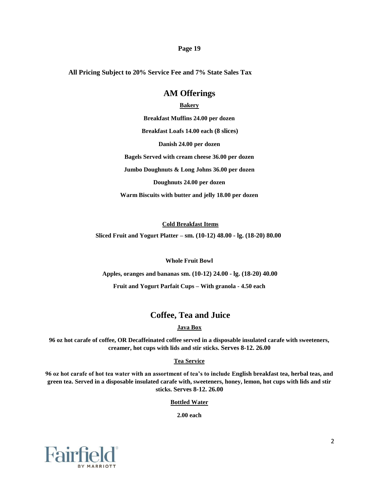#### **Page 19**

**All Pricing Subject to 20% Service Fee and 7% State Sales Tax** 

### **AM Offerings**

### **Bakery**

**Breakfast Muffins 24.00 per dozen Breakfast Loafs 14.00 each (8 slices) Danish 24.00 per dozen Bagels Served with cream cheese 36.00 per dozen Jumbo Doughnuts & Long Johns 36.00 per dozen Doughnuts 24.00 per dozen Warm Biscuits with butter and jelly 18.00 per dozen** 

**Cold Breakfast Items**

**Sliced Fruit and Yogurt Platter – sm. (10-12) 48.00 - lg. (18-20) 80.00** 

**Whole Fruit Bowl** 

**Apples, oranges and bananas sm. (10-12) 24.00 - lg. (18-20) 40.00** 

**Fruit and Yogurt Parfait Cups – With granola - 4.50 each** 

### **Coffee, Tea and Juice**

### **Java Box**

**96 oz hot carafe of coffee, OR Decaffeinated coffee served in a disposable insulated carafe with sweeteners, creamer, hot cups with lids and stir sticks. Serves 8-12. 26.00** 

#### **Tea Service**

**96 oz hot carafe of hot tea water with an assortment of tea's to include English breakfast tea, herbal teas, and green tea. Served in a disposable insulated carafe with, sweeteners, honey, lemon, hot cups with lids and stir sticks. Serves 8-12. 26.00** 

**Bottled Water**

**2.00 each** 

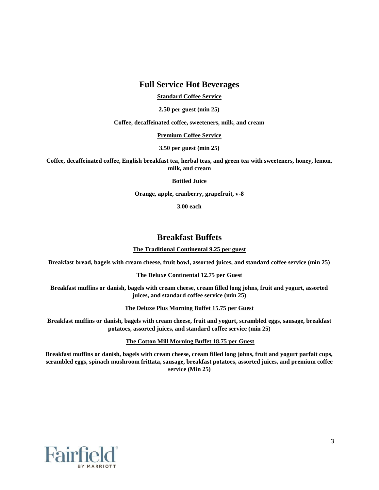### **Full Service Hot Beverages**

**Standard Coffee Service**

**2.50 per guest (min 25)** 

**Coffee, decaffeinated coffee, sweeteners, milk, and cream** 

### **Premium Coffee Service**

**3.50 per guest (min 25)** 

**Coffee, decaffeinated coffee, English breakfast tea, herbal teas, and green tea with sweeteners, honey, lemon, milk, and cream** 

### **Bottled Juice**

**Orange, apple, cranberry, grapefruit, v-8** 

**3.00 each** 

### **Breakfast Buffets**

#### **The Traditional Continental 9.25 per guest**

**Breakfast bread, bagels with cream cheese, fruit bowl, assorted juices, and standard coffee service (min 25)** 

#### **The Deluxe Continental 12.75 per Guest**

**Breakfast muffins or danish, bagels with cream cheese, cream filled long johns, fruit and yogurt, assorted juices, and standard coffee service (min 25)** 

**The Deluxe Plus Morning Buffet 15.75 per Guest**

**Breakfast muffins or danish, bagels with cream cheese, fruit and yogurt, scrambled eggs, sausage, breakfast potatoes, assorted juices, and standard coffee service (min 25)** 

**The Cotton Mill Morning Buffet 18.75 per Guest**

**Breakfast muffins or danish, bagels with cream cheese, cream filled long johns, fruit and yogurt parfait cups, scrambled eggs, spinach mushroom frittata, sausage, breakfast potatoes, assorted juices, and premium coffee service (Min 25)** 

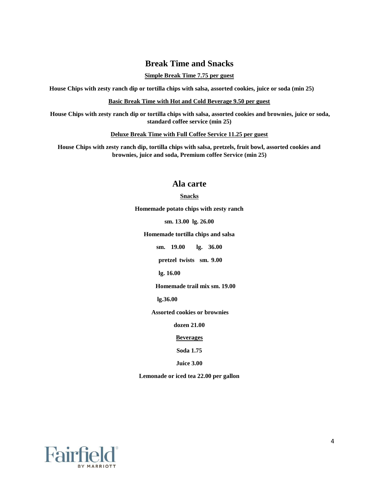### **Break Time and Snacks**

### **Simple Break Time 7.75 per guest**

**House Chips with zesty ranch dip or tortilla chips with salsa, assorted cookies, juice or soda (min 25)** 

**Basic Break Time with Hot and Cold Beverage 9.50 per guest**

**House Chips with zesty ranch dip or tortilla chips with salsa, assorted cookies and brownies, juice or soda, standard coffee service (min 25)** 

#### **Deluxe Break Time with Full Coffee Service 11.25 per guest**

**House Chips with zesty ranch dip, tortilla chips with salsa, pretzels, fruit bowl, assorted cookies and brownies, juice and soda, Premium coffee Service (min 25)** 

### **Ala carte**

### **Snacks**

**Homemade potato chips with zesty ranch** 

**sm. 13.00 lg. 26.00** 

**Homemade tortilla chips and salsa** 

**sm. 19.00 lg. 36.00** 

**pretzel twists sm. 9.00** 

**lg. 16.00** 

**Homemade trail mix sm. 19.00** 

**lg.36.00** 

**Assorted cookies or brownies** 

**dozen 21.00** 

**Beverages**

**Soda 1.75** 

**Juice 3.00** 

**Lemonade or iced tea 22.00 per gallon** 

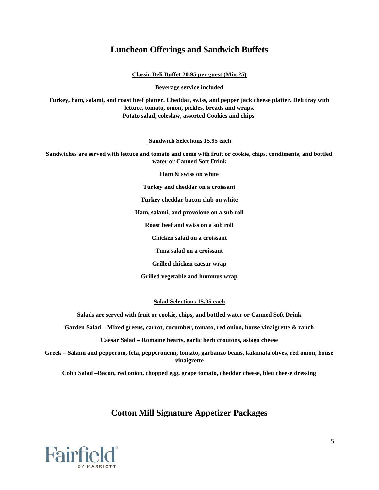### **Luncheon Offerings and Sandwich Buffets**

**Classic Deli Buffet 20.95 per guest (Min 25)**

**Beverage service included** 

**Turkey, ham, salami, and roast beef platter. Cheddar, swiss, and pepper jack cheese platter. Deli tray with lettuce, tomato, onion, pickles, breads and wraps. Potato salad, coleslaw, assorted Cookies and chips.** 

**Sandwich Selections 15.95 each**

**Sandwiches are served with lettuce and tomato and come with fruit or cookie, chips, condiments, and bottled water or Canned Soft Drink** 

**Ham & swiss on white** 

**Turkey and cheddar on a croissant** 

**Turkey cheddar bacon club on white** 

**Ham, salami, and provolone on a sub roll** 

**Roast beef and swiss on a sub roll** 

**Chicken salad on a croissant** 

**Tuna salad on a croissant** 

**Grilled chicken caesar wrap** 

**Grilled vegetable and hummus wrap** 

**Salad Selections 15.95 each**

**Salads are served with fruit or cookie, chips, and bottled water or Canned Soft Drink** 

**Garden Salad – Mixed greens, carrot, cucumber, tomato, red onion, house vinaigrette & ranch** 

**Caesar Salad – Romaine hearts, garlic herb croutons, asiago cheese** 

**Greek – Salami and pepperoni, feta, pepperoncini, tomato, garbanzo beans, kalamata olives, red onion, house vinaigrette** 

**Cobb Salad –Bacon, red onion, chopped egg, grape tomato, cheddar cheese, bleu cheese dressing** 

### **Cotton Mill Signature Appetizer Packages**

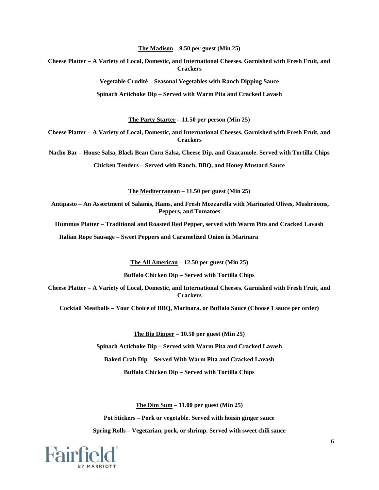**The Madison – 9.50 per guest (Min 25)** 

**Cheese Platter – A Variety of Local, Domestic, and International Cheeses. Garnished with Fresh Fruit, and Crackers** 

**Vegetable Crudité – Seasonal Vegetables with Ranch Dipping Sauce** 

**Spinach Artichoke Dip – Served with Warm Pita and Cracked Lavash** 

**The Party Starter – 11.50 per person (Min 25)** 

**Cheese Platter – A Variety of Local, Domestic, and International Cheeses. Garnished with Fresh Fruit, and Crackers** 

**Nacho Bar – House Salsa, Black Bean Corn Salsa, Cheese Dip, and Guacamole. Served with Tortilla Chips** 

**Chicken Tenders – Served with Ranch, BBQ, and Honey Mustard Sauce** 

**The Mediterranean – 11.50 per guest (Min 25)** 

**Antipasto – An Assortment of Salamis, Hams, and Fresh Mozzarella with Marinated Olives, Mushrooms, Peppers, and Tomatoes** 

**Hummus Platter – Traditional and Roasted Red Pepper, served with Warm Pita and Cracked Lavash** 

**Italian Rope Sausage – Sweet Peppers and Caramelized Onion in Marinara** 

**The All American – 12.50 per guest (Min 25)** 

**Buffalo Chicken Dip – Served with Tortilla Chips** 

**Cheese Platter – A Variety of Local, Domestic, and International Cheeses. Garnished with Fresh Fruit, and Crackers** 

**Cocktail Meatballs – Your Choice of BBQ, Marinara, or Buffalo Sauce (Choose 1 sauce per order)** 

**The Big Dipper – 10.50 per guest (Min 25)** 

**Spinach Artichoke Dip – Served with Warm Pita and Cracked Lavash** 

**Baked Crab Dip – Served With Warm Pita and Cracked Lavash** 

**Buffalo Chicken Dip – Served with Tortilla Chips** 

**The Dim Sum – 11.00 per guest (Min 25)** 

**Pot Stickers – Pork or vegetable. Served with hoisin ginger sauce** 

**Spring Rolls – Vegetarian, pork, or shrimp. Served with sweet chili sauce** 

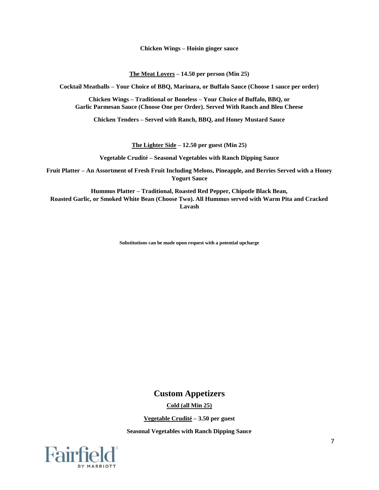**Chicken Wings – Hoisin ginger sauce** 

**The Meat Lovers – 14.50 per person (Min 25)** 

**Cocktail Meatballs – Your Choice of BBQ, Marinara, or Buffalo Sauce (Choose 1 sauce per order)** 

**Chicken Wings – Traditional or Boneless – Your Choice of Buffalo, BBQ, or Garlic Parmesan Sauce (Choose One per Order). Served With Ranch and Bleu Cheese** 

**Chicken Tenders – Served with Ranch, BBQ, and Honey Mustard Sauce** 

**The Lighter Side – 12.50 per guest (Min 25)** 

**Vegetable Crudité – Seasonal Vegetables with Ranch Dipping Sauce** 

**Fruit Platter – An Assortment of Fresh Fruit Including Melons, Pineapple, and Berries Served with a Honey Yogurt Sauce** 

**Hummus Platter – Traditional, Roasted Red Pepper, Chipotle Black Bean, Roasted Garlic, or Smoked White Bean (Choose Two). All Hummus served with Warm Pita and Cracked Lavash** 

**Substitutions can be made upon request with a potential upcharge** 

### **Custom Appetizers**

**Cold (all Min 25)**

**Vegetable Crudité – 3.50 per guest** 

**Seasonal Vegetables with Ranch Dipping Sauce** 

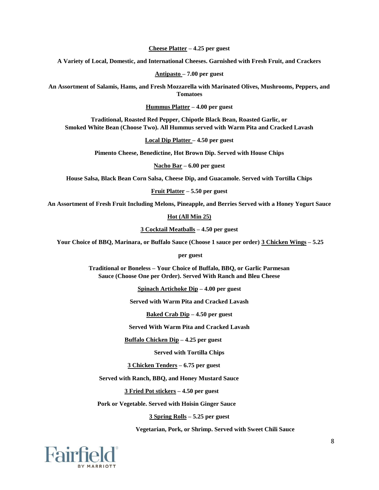**Cheese Platter – 4.25 per guest** 

**A Variety of Local, Domestic, and International Cheeses. Garnished with Fresh Fruit, and Crackers** 

**Antipasto – 7.00 per guest** 

**An Assortment of Salamis, Hams, and Fresh Mozzarella with Marinated Olives, Mushrooms, Peppers, and Tomatoes** 

**Hummus Platter – 4.00 per guest** 

**Traditional, Roasted Red Pepper, Chipotle Black Bean, Roasted Garlic, or Smoked White Bean (Choose Two). All Hummus served with Warm Pita and Cracked Lavash** 

**Local Dip Platter – 4.50 per guest** 

**Pimento Cheese, Benedictine, Hot Brown Dip. Served with House Chips** 

**Nacho Bar – 6.00 per guest** 

**House Salsa, Black Bean Corn Salsa, Cheese Dip, and Guacamole. Served with Tortilla Chips** 

**Fruit Platter – 5.50 per guest** 

**An Assortment of Fresh Fruit Including Melons, Pineapple, and Berries Served with a Honey Yogurt Sauce** 

**Hot (All Min 25)**

**3 Cocktail Meatballs – 4.50 per guest** 

**Your Choice of BBQ, Marinara, or Buffalo Sauce (Choose 1 sauce per order) 3 Chicken Wings – 5.25** 

**per guest** 

**Traditional or Boneless – Your Choice of Buffalo, BBQ, or Garlic Parmesan Sauce (Choose One per Order). Served With Ranch and Bleu Cheese** 

**Spinach Artichoke Dip – 4.00 per guest** 

**Served with Warm Pita and Cracked Lavash** 

**Baked Crab Dip – 4.50 per guest** 

**Served With Warm Pita and Cracked Lavash** 

**Buffalo Chicken Dip – 4.25 per guest** 

**Served with Tortilla Chips** 

**3 Chicken Tenders – 6.75 per guest** 

**Served with Ranch, BBQ, and Honey Mustard Sauce** 

**3 Fried Pot stickers – 4.50 per guest** 

**Pork or Vegetable. Served with Hoisin Ginger Sauce** 

**3 Spring Rolls – 5.25 per guest** 

**Vegetarian, Pork, or Shrimp. Served with Sweet Chili Sauce** 

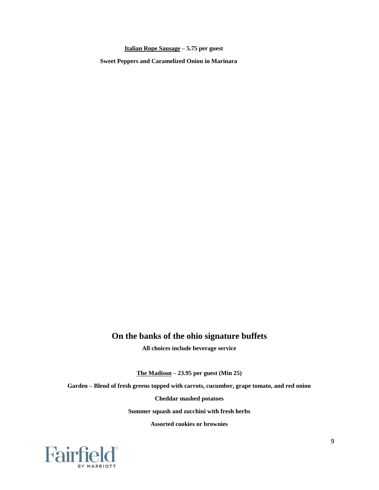**Italian Rope Sausage – 5.75 per guest** 

**Sweet Peppers and Caramelized Onion in Marinara** 

### **On the banks of the ohio signature buffets**

**All choices include beverage service** 

**The Madison – 23.95 per guest (Min 25)** 

**Garden – Blend of fresh greens topped with carrots, cucumber, grape tomato, and red onion** 

**Cheddar mashed potatoes** 

**Summer squash and zucchini with fresh herbs** 

**Assorted cookies or brownies** 

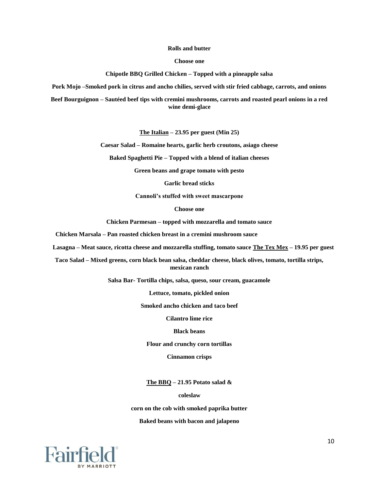#### **Rolls and butter**

**Choose one** 

**Chipotle BBQ Grilled Chicken – Topped with a pineapple salsa** 

**Pork Mojo –Smoked pork in citrus and ancho chilies, served with stir fried cabbage, carrots, and onions** 

**Beef Bourguignon – Sautéed beef tips with cremini mushrooms, carrots and roasted pearl onions in a red wine demi-glace** 

**The Italian – 23.95 per guest (Min 25)** 

**Caesar Salad – Romaine hearts, garlic herb croutons, asiago cheese** 

**Baked Spaghetti Pie – Topped with a blend of italian cheeses** 

**Green beans and grape tomato with pesto** 

**Garlic bread sticks** 

**Cannoli's stuffed with sweet mascarpone** 

**Choose one** 

**Chicken Parmesan – topped with mozzarella and tomato sauce** 

**Chicken Marsala – Pan roasted chicken breast in a cremini mushroom sauce** 

**Lasagna – Meat sauce, ricotta cheese and mozzarella stuffing, tomato sauce The Tex Mex – 19.95 per guest** 

**Taco Salad – Mixed greens, corn black bean salsa, cheddar cheese, black olives, tomato, tortilla strips, mexican ranch** 

**Salsa Bar- Tortilla chips, salsa, queso, sour cream, guacamole** 

**Lettuce, tomato, pickled onion** 

**Smoked ancho chicken and taco beef** 

**Cilantro lime rice** 

**Black beans** 

**Flour and crunchy corn tortillas** 

**Cinnamon crisps** 

**The BBQ – 21.95 Potato salad &** 

**coleslaw** 

**corn on the cob with smoked paprika butter** 

**Baked beans with bacon and jalapeno** 

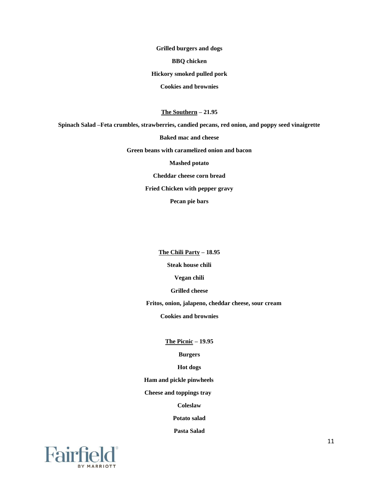**Grilled burgers and dogs BBQ chicken Hickory smoked pulled pork Cookies and brownies** 

**The Southern – 21.95** 

**Spinach Salad –Feta crumbles, strawberries, candied pecans, red onion, and poppy seed vinaigrette** 

**Baked mac and cheese** 

**Green beans with caramelized onion and bacon** 

**Mashed potato** 

**Cheddar cheese corn bread** 

**Fried Chicken with pepper gravy** 

**Pecan pie bars** 

**The Chili Party – 18.95** 

**Steak house chili** 

**Vegan chili** 

**Grilled cheese** 

**Fritos, onion, jalapeno, cheddar cheese, sour cream** 

**Cookies and brownies** 

**The Picnic – 19.95** 

**Burgers** 

**Hot dogs** 

**Ham and pickle pinwheels** 

**Cheese and toppings tray** 

**Coleslaw** 

**Potato salad** 

**Pasta Salad** 

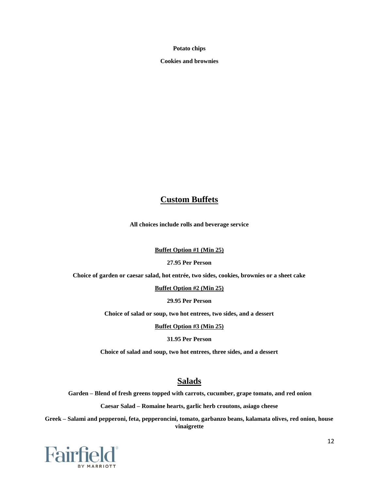**Potato chips** 

**Cookies and brownies** 

### **Custom Buffets**

**All choices include rolls and beverage service** 

#### **Buffet Option #1 (Min 25)**

#### **27.95 Per Person**

**Choice of garden or caesar salad, hot entrée, two sides, cookies, brownies or a sheet cake** 

**Buffet Option #2 (Min 25)**

**29.95 Per Person** 

**Choice of salad or soup, two hot entrees, two sides, and a dessert** 

**Buffet Option #3 (Min 25)**

#### **31.95 Per Person**

**Choice of salad and soup, two hot entrees, three sides, and a dessert** 

### **Salads**

**Garden – Blend of fresh greens topped with carrots, cucumber, grape tomato, and red onion** 

**Caesar Salad – Romaine hearts, garlic herb croutons, asiago cheese**

**Greek – Salami and pepperoni, feta, pepperoncini, tomato, garbanzo beans, kalamata olives, red onion, house vinaigrette** 

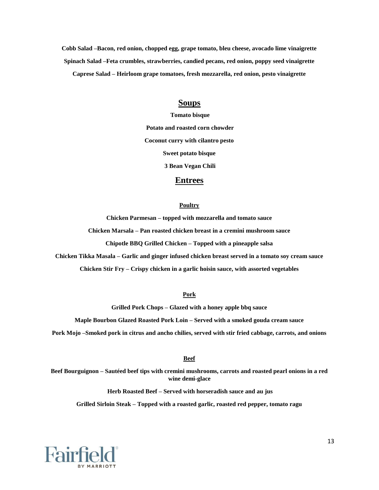**Cobb Salad –Bacon, red onion, chopped egg, grape tomato, bleu cheese, avocado lime vinaigrette Spinach Salad –Feta crumbles, strawberries, candied pecans, red onion, poppy seed vinaigrette Caprese Salad – Heirloom grape tomatoes, fresh mozzarella, red onion, pesto vinaigrette** 

### **Soups**

**Tomato bisque Potato and roasted corn chowder Coconut curry with cilantro pesto Sweet potato bisque 3 Bean Vegan Chili** 

#### **Entrees**

#### **Poultry**

**Chicken Parmesan – topped with mozzarella and tomato sauce** 

**Chicken Marsala – Pan roasted chicken breast in a cremini mushroom sauce** 

**Chipotle BBQ Grilled Chicken – Topped with a pineapple salsa**

**Chicken Tikka Masala – Garlic and ginger infused chicken breast served in a tomato soy cream sauce** 

**Chicken Stir Fry – Crispy chicken in a garlic hoisin sauce, with assorted vegetables** 

#### **Pork**

**Grilled Pork Chops – Glazed with a honey apple bbq sauce** 

**Maple Bourbon Glazed Roasted Pork Loin – Served with a smoked gouda cream sauce** 

**Pork Mojo –Smoked pork in citrus and ancho chilies, served with stir fried cabbage, carrots, and onions** 

#### **Beef**

**Beef Bourguignon – Sautéed beef tips with cremini mushrooms, carrots and roasted pearl onions in a red wine demi-glace** 

**Herb Roasted Beef – Served with horseradish sauce and au jus** 

**Grilled Sirloin Steak – Topped with a roasted garlic, roasted red pepper, tomato ragu** 

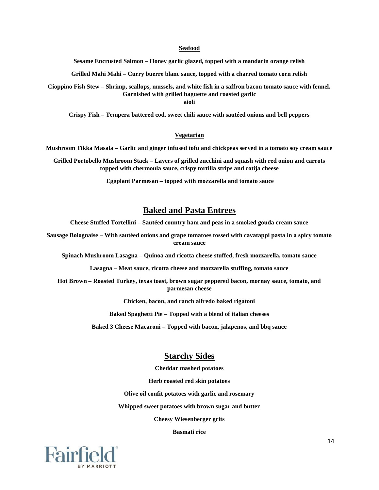#### **Seafood**

**Sesame Encrusted Salmon – Honey garlic glazed, topped with a mandarin orange relish** 

**Grilled Mahi Mahi – Curry buerre blanc sauce, topped with a charred tomato corn relish** 

**Cioppino Fish Stew – Shrimp, scallops, mussels, and white fish in a saffron bacon tomato sauce with fennel. Garnished with grilled baguette and roasted garlic** 

**aioli** 

**Crispy Fish – Tempera battered cod, sweet chili sauce with sautéed onions and bell peppers** 

#### **Vegetarian**

**Mushroom Tikka Masala – Garlic and ginger infused tofu and chickpeas served in a tomato soy cream sauce** 

**Grilled Portobello Mushroom Stack – Layers of grilled zucchini and squash with red onion and carrots topped with chermoula sauce, crispy tortilla strips and cotija cheese** 

**Eggplant Parmesan – topped with mozzarella and tomato sauce** 

### **Baked and Pasta Entrees**

**Cheese Stuffed Tortellini – Sautéed country ham and peas in a smoked gouda cream sauce** 

**Sausage Bolognaise – With sautéed onions and grape tomatoes tossed with cavatappi pasta in a spicy tomato cream sauce** 

**Spinach Mushroom Lasagna – Quinoa and ricotta cheese stuffed, fresh mozzarella, tomato sauce** 

**Lasagna – Meat sauce, ricotta cheese and mozzarella stuffing, tomato sauce** 

**Hot Brown – Roasted Turkey, texas toast, brown sugar peppered bacon, mornay sauce, tomato, and parmesan cheese** 

**Chicken, bacon, and ranch alfredo baked rigatoni** 

**Baked Spaghetti Pie – Topped with a blend of italian cheeses** 

**Baked 3 Cheese Macaroni – Topped with bacon, jalapenos, and bbq sauce** 

### **Starchy Sides**

**Cheddar mashed potatoes** 

**Herb roasted red skin potatoes** 

**Olive oil confit potatoes with garlic and rosemary** 

**Whipped sweet potatoes with brown sugar and butter** 

**Cheesy Wiesenberger grits** 

**Basmati rice** 

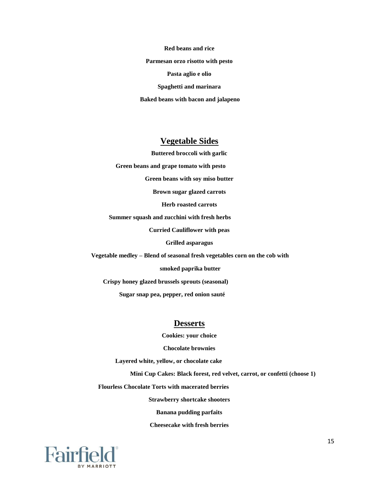**Red beans and rice Parmesan orzo risotto with pesto Pasta aglio e olio Spaghetti and marinara Baked beans with bacon and jalapeno** 

### **Vegetable Sides**

**Buttered broccoli with garlic** 

**Green beans and grape tomato with pesto** 

**Green beans with soy miso butter** 

**Brown sugar glazed carrots** 

**Herb roasted carrots** 

**Summer squash and zucchini with fresh herbs** 

**Curried Cauliflower with peas** 

**Grilled asparagus** 

**Vegetable medley – Blend of seasonal fresh vegetables corn on the cob with** 

**smoked paprika butter** 

**Crispy honey glazed brussels sprouts (seasonal)** 

**Sugar snap pea, pepper, red onion sauté** 

### **Desserts**

**Cookies: your choice** 

**Chocolate brownies** 

**Layered white, yellow, or chocolate cake** 

**Mini Cup Cakes: Black forest, red velvet, carrot, or confetti (choose 1)** 

**Flourless Chocolate Torts with macerated berries** 

**Strawberry shortcake shooters** 

**Banana pudding parfaits** 

**Cheesecake with fresh berries** 

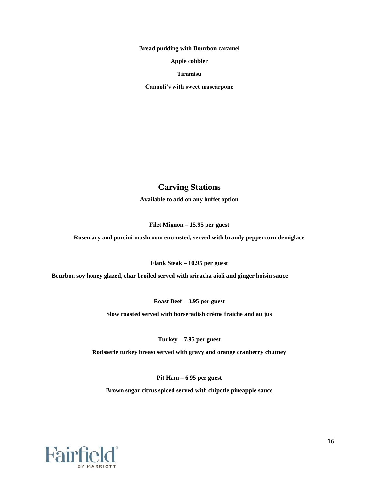**Bread pudding with Bourbon caramel** 

**Apple cobbler** 

**Tiramisu** 

**Cannoli's with sweet mascarpone** 

### **Carving Stations**

**Available to add on any buffet option** 

**Filet Mignon – 15.95 per guest** 

**Rosemary and porcini mushroom encrusted, served with brandy peppercorn demiglace** 

**Flank Steak – 10.95 per guest** 

**Bourbon soy honey glazed, char broiled served with sriracha aioli and ginger hoisin sauce** 

**Roast Beef – 8.95 per guest** 

**Slow roasted served with horseradish crème fraiche and au jus** 

**Turkey – 7.95 per guest** 

**Rotisserie turkey breast served with gravy and orange cranberry chutney** 

**Pit Ham – 6.95 per guest** 

**Brown sugar citrus spiced served with chipotle pineapple sauce** 

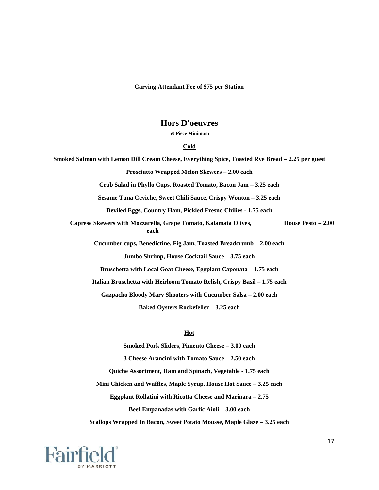**Carving Attendant Fee of \$75 per Station** 

### **Hors D'oeuvres**

**50 Piece Minimum** 

#### **Cold**

**Smoked Salmon with Lemon Dill Cream Cheese, Everything Spice, Toasted Rye Bread – 2.25 per guest Prosciutto Wrapped Melon Skewers – 2.00 each Crab Salad in Phyllo Cups, Roasted Tomato, Bacon Jam – 3.25 each Sesame Tuna Ceviche, Sweet Chili Sauce, Crispy Wonton – 3.25 each Deviled Eggs, Country Ham, Pickled Fresno Chilies - 1.75 each Caprese Skewers with Mozzarella, Grape Tomato, Kalamata Olives, House Pesto – 2.00 each Cucumber cups, Benedictine, Fig Jam, Toasted Breadcrumb – 2.00 each Jumbo Shrimp, House Cocktail Sauce – 3.75 each Bruschetta with Local Goat Cheese, Eggplant Caponata – 1.75 each Italian Bruschetta with Heirloom Tomato Relish, Crispy Basil – 1.75 each Gazpacho Bloody Mary Shooters with Cucumber Salsa – 2.00 each Baked Oysters Rockefeller – 3.25 each** 

#### **Hot**

**Smoked Pork Sliders, Pimento Cheese – 3.00 each 3 Cheese Arancini with Tomato Sauce – 2.50 each Quiche Assortment, Ham and Spinach, Vegetable - 1.75 each Mini Chicken and Waffles, Maple Syrup, House Hot Sauce – 3.25 each Eggplant Rollatini with Ricotta Cheese and Marinara – 2.75 Beef Empanadas with Garlic Aioli – 3.00 each Scallops Wrapped In Bacon, Sweet Potato Mousse, Maple Glaze – 3.25 each** 

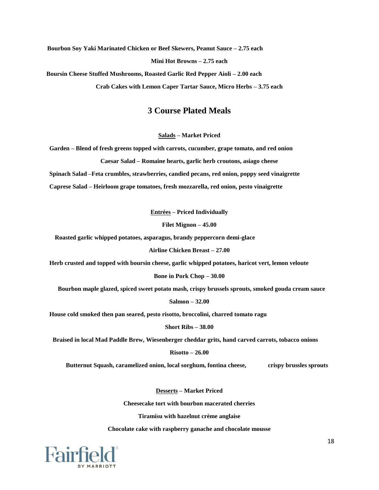**Bourbon Soy Yaki Marinated Chicken or Beef Skewers, Peanut Sauce – 2.75 each Mini Hot Browns – 2.75 each Boursin Cheese Stuffed Mushrooms, Roasted Garlic Red Pepper Aioli – 2.00 each** 

**Crab Cakes with Lemon Caper Tartar Sauce, Micro Herbs – 3.75 each** 

### **3 Course Plated Meals**

**Salads – Market Priced** 

**Garden – Blend of fresh greens topped with carrots, cucumber, grape tomato, and red onion Caesar Salad – Romaine hearts, garlic herb croutons, asiago cheese** 

**Spinach Salad –Feta crumbles, strawberries, candied pecans, red onion, poppy seed vinaigrette** 

**Caprese Salad – Heirloom grape tomatoes, fresh mozzarella, red onion, pesto vinaigrette** 

**Entrées – Priced Individually** 

**Filet Mignon – 45.00** 

**Roasted garlic whipped potatoes, asparagus, brandy peppercorn demi-glace** 

**Airline Chicken Breast – 27.00** 

**Herb crusted and topped with boursin cheese, garlic whipped potatoes, haricot vert, lemon veloute** 

**Bone in Pork Chop – 30.00** 

**Bourbon maple glazed, spiced sweet potato mash, crispy brussels sprouts, smoked gouda cream sauce** 

**Salmon – 32.00** 

**House cold smoked then pan seared, pesto risotto, broccolini, charred tomato ragu** 

**Short Ribs – 38.00** 

**Braised in local Mad Paddle Brew, Wiesenberger cheddar grits, hand carved carrots, tobacco onions** 

**Risotto – 26.00** 

**Butternut Squash, caramelized onion, local sorghum, fontina cheese, crispy brussles sprouts** 

**Desserts – Market Priced** 

**Cheesecake tort with bourbon macerated cherries** 

**Tiramisu with hazelnut crème anglaise** 

**Chocolate cake with raspberry ganache and chocolate mousse**